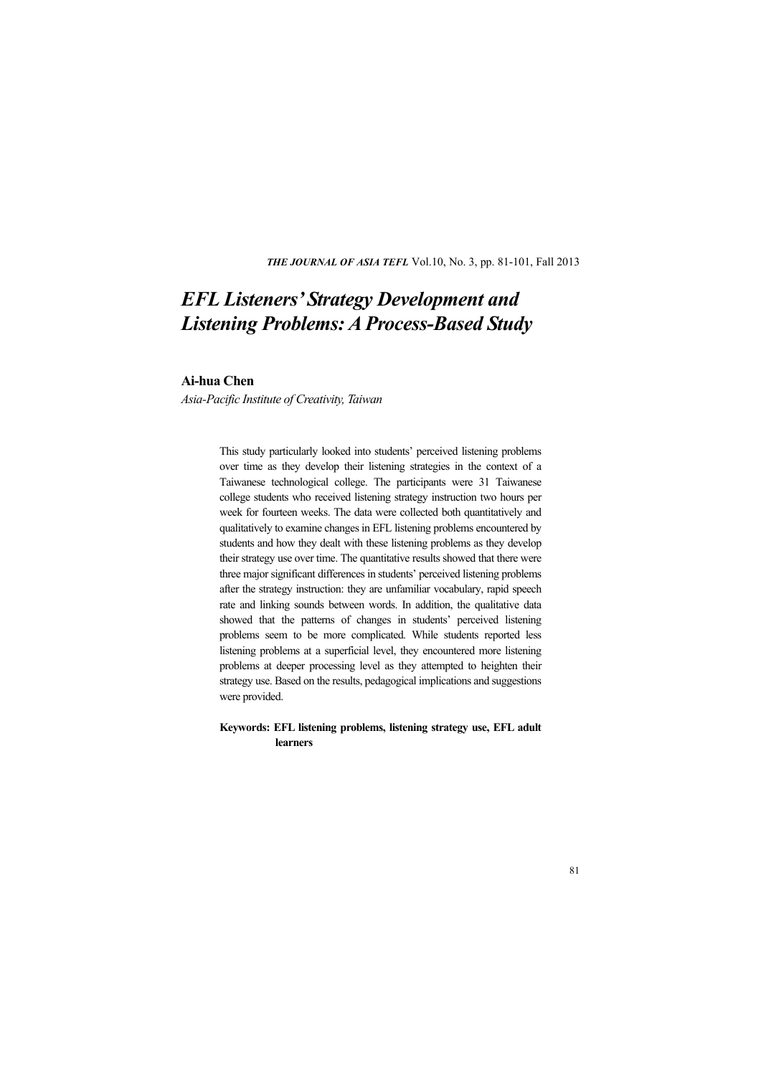*THE JOURNAL OF ASIA TEFL* Vol.10, No. 3, pp. 81-101, Fall 2013

# *EFL Listeners' Strategy Development and Listening Problems: A Process-Based Study*

## **Ai-hua Chen**

*Asia-Pacific Institute of Creativity, Taiwan* 

This study particularly looked into students' perceived listening problems over time as they develop their listening strategies in the context of a Taiwanese technological college. The participants were 31 Taiwanese college students who received listening strategy instruction two hours per week for fourteen weeks. The data were collected both quantitatively and qualitatively to examine changes in EFL listening problems encountered by students and how they dealt with these listening problems as they develop their strategy use over time. The quantitative results showed that there were three major significant differences in students' perceived listening problems after the strategy instruction: they are unfamiliar vocabulary, rapid speech rate and linking sounds between words. In addition, the qualitative data showed that the patterns of changes in students' perceived listening problems seem to be more complicated. While students reported less listening problems at a superficial level, they encountered more listening problems at deeper processing level as they attempted to heighten their strategy use. Based on the results, pedagogical implications and suggestions were provided.

#### **Keywords: EFL listening problems, listening strategy use, EFL adult learners**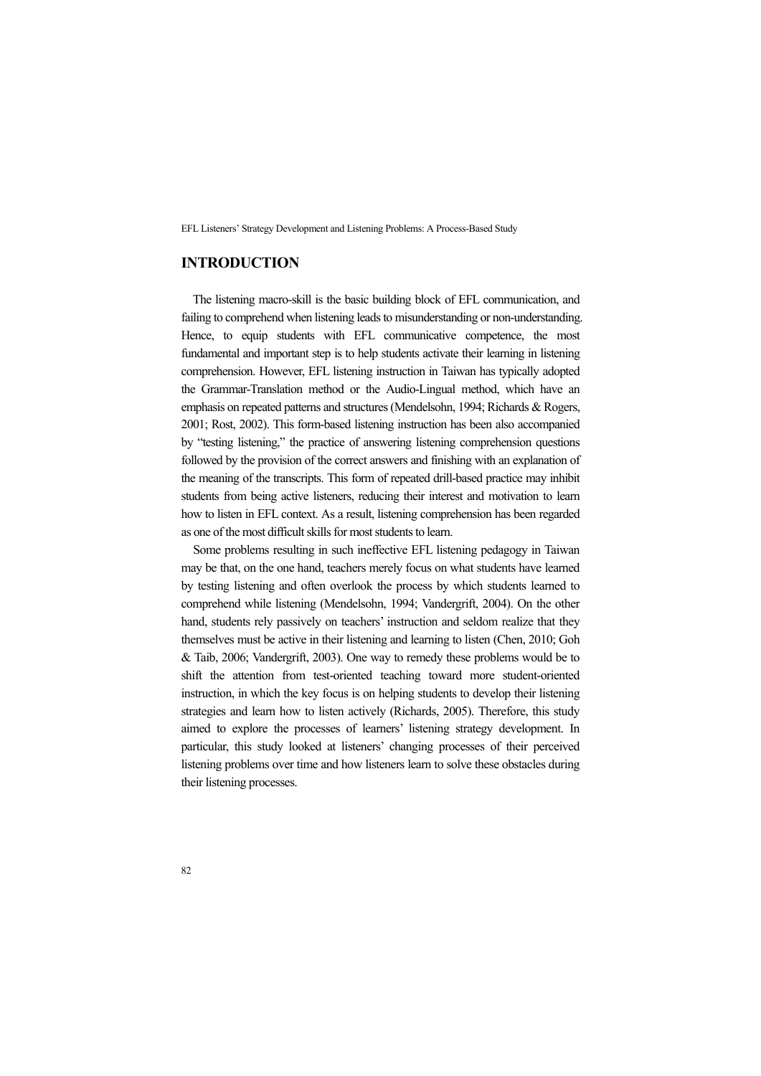# **INTRODUCTION**

The listening macro-skill is the basic building block of EFL communication, and failing to comprehend when listening leads to misunderstanding or non-understanding. Hence, to equip students with EFL communicative competence, the most fundamental and important step is to help students activate their learning in listening comprehension. However, EFL listening instruction in Taiwan has typically adopted the Grammar-Translation method or the Audio-Lingual method, which have an emphasis on repeated patterns and structures (Mendelsohn, 1994; Richards & Rogers, 2001; Rost, 2002). This form-based listening instruction has been also accompanied by "testing listening," the practice of answering listening comprehension questions followed by the provision of the correct answers and finishing with an explanation of the meaning of the transcripts. This form of repeated drill-based practice may inhibit students from being active listeners, reducing their interest and motivation to learn how to listen in EFL context. As a result, listening comprehension has been regarded as one of the most difficult skills for most students to learn.

Some problems resulting in such ineffective EFL listening pedagogy in Taiwan may be that, on the one hand, teachers merely focus on what students have learned by testing listening and often overlook the process by which students learned to comprehend while listening (Mendelsohn, 1994; Vandergrift, 2004). On the other hand, students rely passively on teachers' instruction and seldom realize that they themselves must be active in their listening and learning to listen (Chen, 2010; Goh & Taib, 2006; Vandergrift, 2003). One way to remedy these problems would be to shift the attention from test-oriented teaching toward more student-oriented instruction, in which the key focus is on helping students to develop their listening strategies and learn how to listen actively (Richards, 2005). Therefore, this study aimed to explore the processes of learners' listening strategy development. In particular, this study looked at listeners' changing processes of their perceived listening problems over time and how listeners learn to solve these obstacles during their listening processes.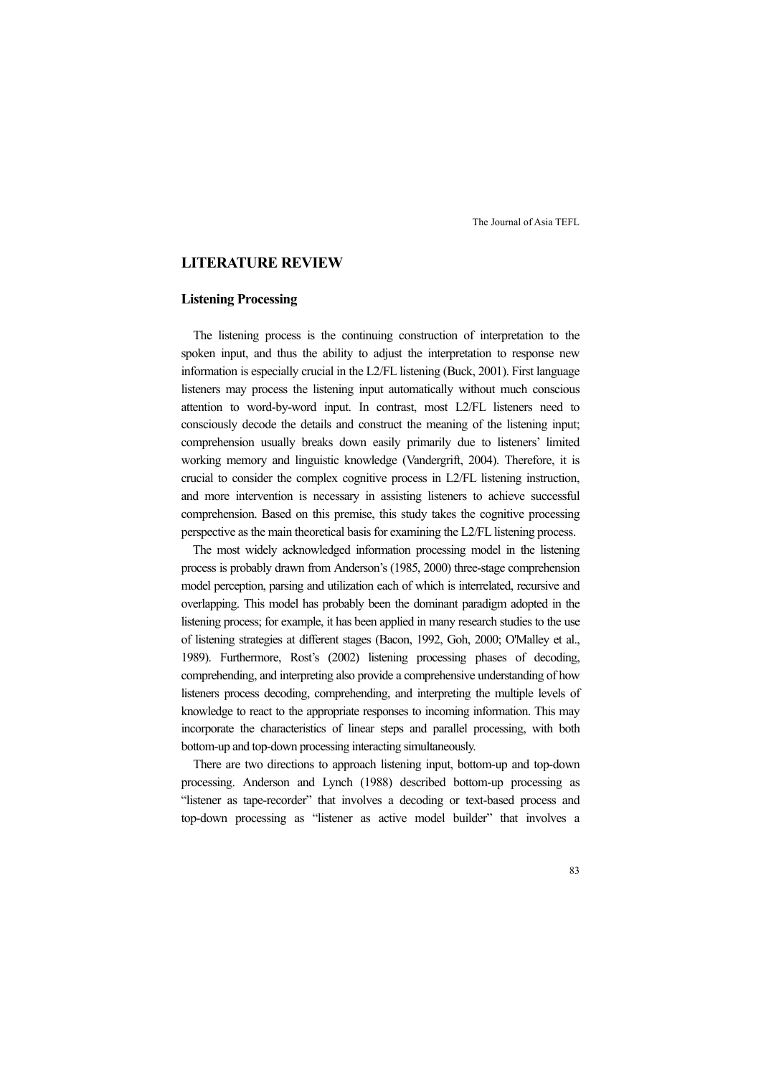## **LITERATURE REVIEW**

## **Listening Processing**

The listening process is the continuing construction of interpretation to the spoken input, and thus the ability to adjust the interpretation to response new information is especially crucial in the L2/FL listening (Buck, 2001). First language listeners may process the listening input automatically without much conscious attention to word-by-word input. In contrast, most L2/FL listeners need to consciously decode the details and construct the meaning of the listening input; comprehension usually breaks down easily primarily due to listeners' limited working memory and linguistic knowledge (Vandergrift, 2004). Therefore, it is crucial to consider the complex cognitive process in L2/FL listening instruction, and more intervention is necessary in assisting listeners to achieve successful comprehension. Based on this premise, this study takes the cognitive processing perspective as the main theoretical basis for examining the L2/FL listening process.

The most widely acknowledged information processing model in the listening process is probably drawn from Anderson's (1985, 2000) three-stage comprehension model perception, parsing and utilization each of which is interrelated, recursive and overlapping. This model has probably been the dominant paradigm adopted in the listening process; for example, it has been applied in many research studies to the use of listening strategies at different stages (Bacon, 1992, Goh, 2000; O'Malley et al., 1989). Furthermore, Rost's (2002) listening processing phases of decoding, comprehending, and interpreting also provide a comprehensive understanding of how listeners process decoding, comprehending, and interpreting the multiple levels of knowledge to react to the appropriate responses to incoming information. This may incorporate the characteristics of linear steps and parallel processing, with both bottom-up and top-down processing interacting simultaneously.

There are two directions to approach listening input, bottom-up and top-down processing. Anderson and Lynch (1988) described bottom-up processing as "listener as tape-recorder" that involves a decoding or text-based process and top-down processing as "listener as active model builder" that involves a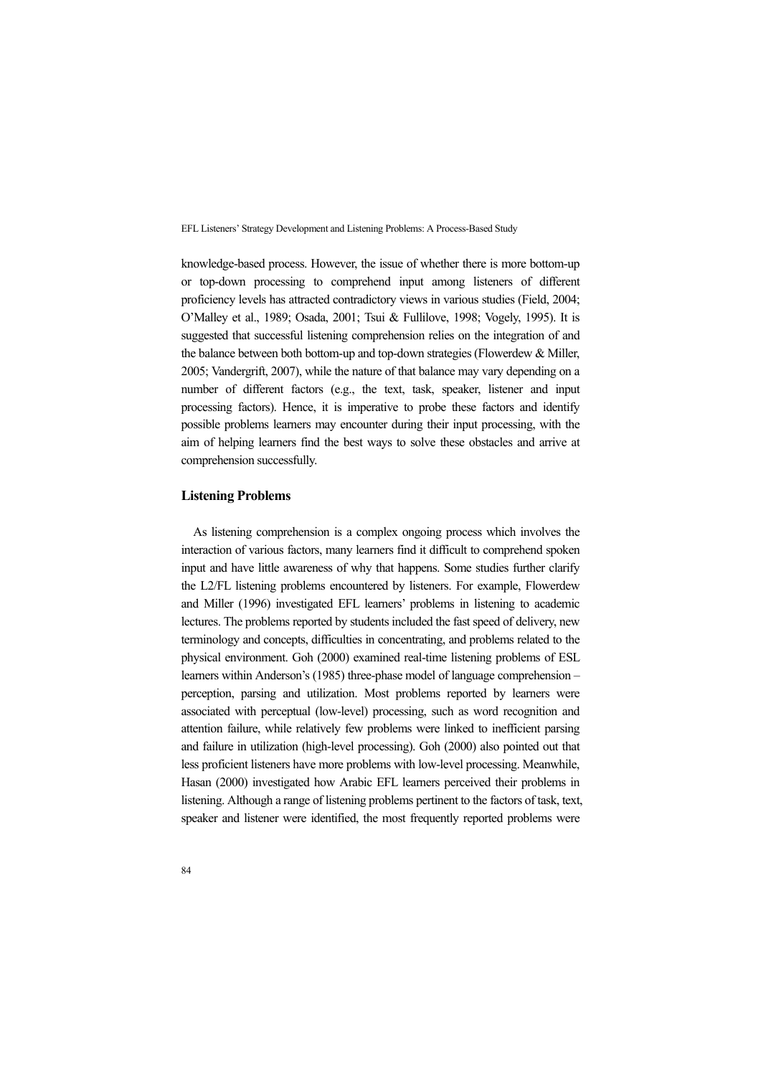knowledge-based process. However, the issue of whether there is more bottom-up or top-down processing to comprehend input among listeners of different proficiency levels has attracted contradictory views in various studies (Field, 2004; O'Malley et al., 1989; Osada, 2001; Tsui & Fullilove, 1998; Vogely, 1995). It is suggested that successful listening comprehension relies on the integration of and the balance between both bottom-up and top-down strategies (Flowerdew & Miller, 2005; Vandergrift, 2007), while the nature of that balance may vary depending on a number of different factors (e.g., the text, task, speaker, listener and input processing factors). Hence, it is imperative to probe these factors and identify possible problems learners may encounter during their input processing, with the aim of helping learners find the best ways to solve these obstacles and arrive at comprehension successfully.

#### **Listening Problems**

As listening comprehension is a complex ongoing process which involves the interaction of various factors, many learners find it difficult to comprehend spoken input and have little awareness of why that happens. Some studies further clarify the L2/FL listening problems encountered by listeners. For example, Flowerdew and Miller (1996) investigated EFL learners' problems in listening to academic lectures. The problems reported by students included the fast speed of delivery, new terminology and concepts, difficulties in concentrating, and problems related to the physical environment. Goh (2000) examined real-time listening problems of ESL learners within Anderson's (1985) three-phase model of language comprehension – perception, parsing and utilization. Most problems reported by learners were associated with perceptual (low-level) processing, such as word recognition and attention failure, while relatively few problems were linked to inefficient parsing and failure in utilization (high-level processing). Goh (2000) also pointed out that less proficient listeners have more problems with low-level processing. Meanwhile, Hasan (2000) investigated how Arabic EFL learners perceived their problems in listening. Although a range of listening problems pertinent to the factors of task, text, speaker and listener were identified, the most frequently reported problems were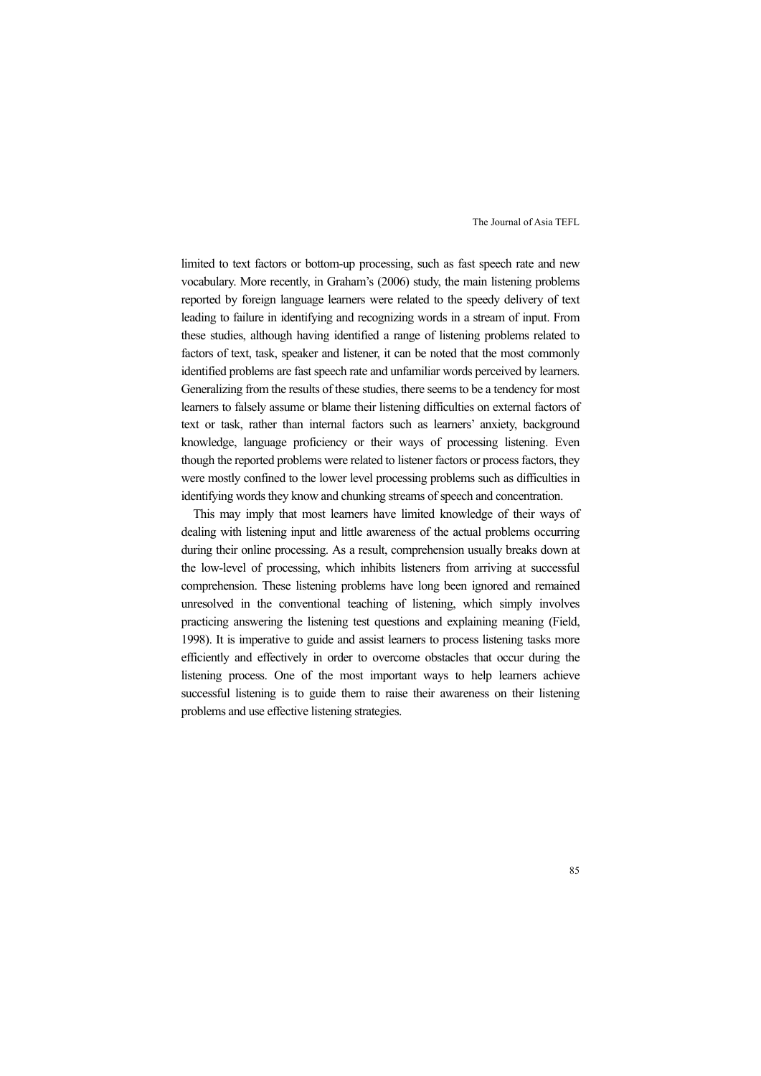limited to text factors or bottom-up processing, such as fast speech rate and new vocabulary. More recently, in Graham's (2006) study, the main listening problems reported by foreign language learners were related to the speedy delivery of text leading to failure in identifying and recognizing words in a stream of input. From these studies, although having identified a range of listening problems related to factors of text, task, speaker and listener, it can be noted that the most commonly identified problems are fast speech rate and unfamiliar words perceived by learners. Generalizing from the results of these studies, there seems to be a tendency for most learners to falsely assume or blame their listening difficulties on external factors of text or task, rather than internal factors such as learners' anxiety, background knowledge, language proficiency or their ways of processing listening. Even though the reported problems were related to listener factors or process factors, they were mostly confined to the lower level processing problems such as difficulties in identifying words they know and chunking streams of speech and concentration.

This may imply that most learners have limited knowledge of their ways of dealing with listening input and little awareness of the actual problems occurring during their online processing. As a result, comprehension usually breaks down at the low-level of processing, which inhibits listeners from arriving at successful comprehension. These listening problems have long been ignored and remained unresolved in the conventional teaching of listening, which simply involves practicing answering the listening test questions and explaining meaning (Field, 1998). It is imperative to guide and assist learners to process listening tasks more efficiently and effectively in order to overcome obstacles that occur during the listening process. One of the most important ways to help learners achieve successful listening is to guide them to raise their awareness on their listening problems and use effective listening strategies.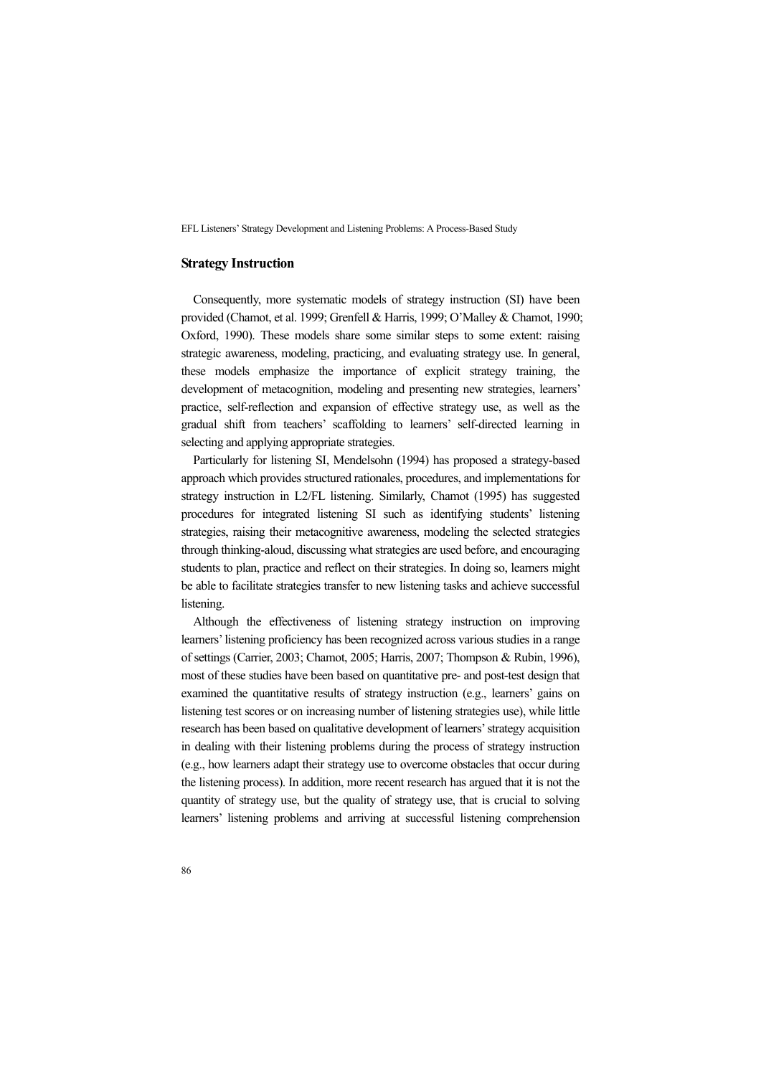#### **Strategy Instruction**

Consequently, more systematic models of strategy instruction (SI) have been provided (Chamot, et al. 1999; Grenfell & Harris, 1999; O'Malley & Chamot, 1990; Oxford, 1990). These models share some similar steps to some extent: raising strategic awareness, modeling, practicing, and evaluating strategy use. In general, these models emphasize the importance of explicit strategy training, the development of metacognition, modeling and presenting new strategies, learners' practice, self-reflection and expansion of effective strategy use, as well as the gradual shift from teachers' scaffolding to learners' self-directed learning in selecting and applying appropriate strategies.

Particularly for listening SI, Mendelsohn (1994) has proposed a strategy-based approach which provides structured rationales, procedures, and implementations for strategy instruction in L2/FL listening. Similarly, Chamot (1995) has suggested procedures for integrated listening SI such as identifying students' listening strategies, raising their metacognitive awareness, modeling the selected strategies through thinking-aloud, discussing what strategies are used before, and encouraging students to plan, practice and reflect on their strategies. In doing so, learners might be able to facilitate strategies transfer to new listening tasks and achieve successful listening.

Although the effectiveness of listening strategy instruction on improving learners' listening proficiency has been recognized across various studies in a range of settings (Carrier, 2003; Chamot, 2005; Harris, 2007; Thompson & Rubin, 1996), most of these studies have been based on quantitative pre- and post-test design that examined the quantitative results of strategy instruction (e.g., learners' gains on listening test scores or on increasing number of listening strategies use), while little research has been based on qualitative development of learners' strategy acquisition in dealing with their listening problems during the process of strategy instruction (e.g., how learners adapt their strategy use to overcome obstacles that occur during the listening process). In addition, more recent research has argued that it is not the quantity of strategy use, but the quality of strategy use, that is crucial to solving learners' listening problems and arriving at successful listening comprehension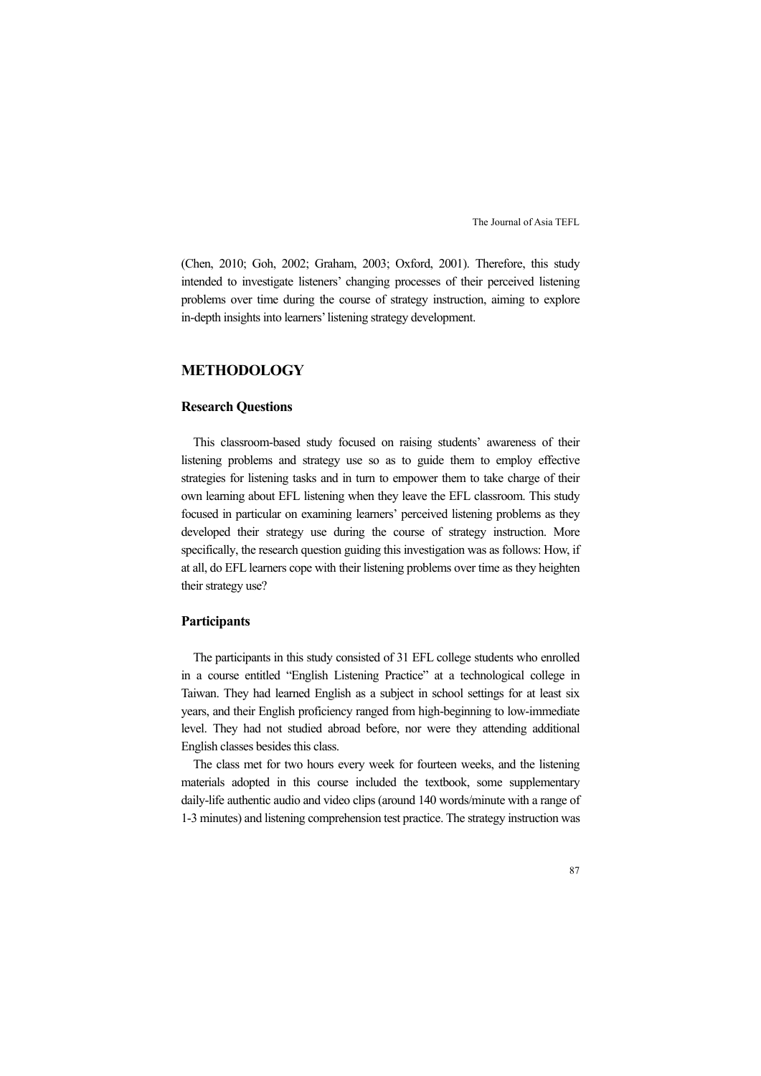(Chen, 2010; Goh, 2002; Graham, 2003; Oxford, 2001). Therefore, this study intended to investigate listeners' changing processes of their perceived listening problems over time during the course of strategy instruction, aiming to explore in-depth insights into learners' listening strategy development.

# **METHODOLOGY**

## **Research Questions**

This classroom-based study focused on raising students' awareness of their listening problems and strategy use so as to guide them to employ effective strategies for listening tasks and in turn to empower them to take charge of their own learning about EFL listening when they leave the EFL classroom. This study focused in particular on examining learners' perceived listening problems as they developed their strategy use during the course of strategy instruction. More specifically, the research question guiding this investigation was as follows: How, if at all, do EFL learners cope with their listening problems over time as they heighten their strategy use?

### **Participants**

The participants in this study consisted of 31 EFL college students who enrolled in a course entitled "English Listening Practice" at a technological college in Taiwan. They had learned English as a subject in school settings for at least six years, and their English proficiency ranged from high-beginning to low-immediate level. They had not studied abroad before, nor were they attending additional English classes besides this class.

The class met for two hours every week for fourteen weeks, and the listening materials adopted in this course included the textbook, some supplementary daily-life authentic audio and video clips (around 140 words/minute with a range of 1-3 minutes) and listening comprehension test practice. The strategy instruction was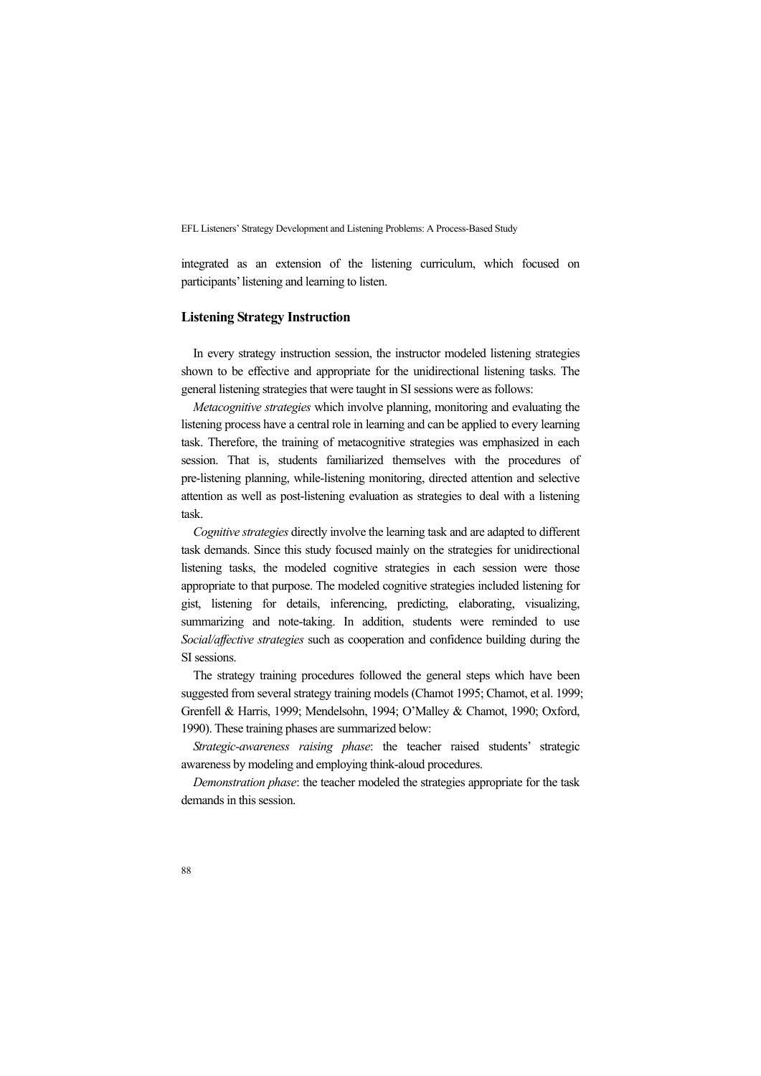integrated as an extension of the listening curriculum, which focused on participants' listening and learning to listen.

### **Listening Strategy Instruction**

In every strategy instruction session, the instructor modeled listening strategies shown to be effective and appropriate for the unidirectional listening tasks. The general listening strategies that were taught in SI sessions were as follows:

*Metacognitive strategies* which involve planning, monitoring and evaluating the listening process have a central role in learning and can be applied to every learning task. Therefore, the training of metacognitive strategies was emphasized in each session. That is, students familiarized themselves with the procedures of pre-listening planning, while-listening monitoring, directed attention and selective attention as well as post-listening evaluation as strategies to deal with a listening task.

*Cognitive strategies* directly involve the learning task and are adapted to different task demands. Since this study focused mainly on the strategies for unidirectional listening tasks, the modeled cognitive strategies in each session were those appropriate to that purpose. The modeled cognitive strategies included listening for gist, listening for details, inferencing, predicting, elaborating, visualizing, summarizing and note-taking. In addition, students were reminded to use *Social/affective strategies* such as cooperation and confidence building during the SI sessions.

The strategy training procedures followed the general steps which have been suggested from several strategy training models (Chamot 1995; Chamot, et al. 1999; Grenfell & Harris, 1999; Mendelsohn, 1994; O'Malley & Chamot, 1990; Oxford, 1990). These training phases are summarized below:

*Strategic-awareness raising phase*: the teacher raised students' strategic awareness by modeling and employing think-aloud procedures.

*Demonstration phase*: the teacher modeled the strategies appropriate for the task demands in this session.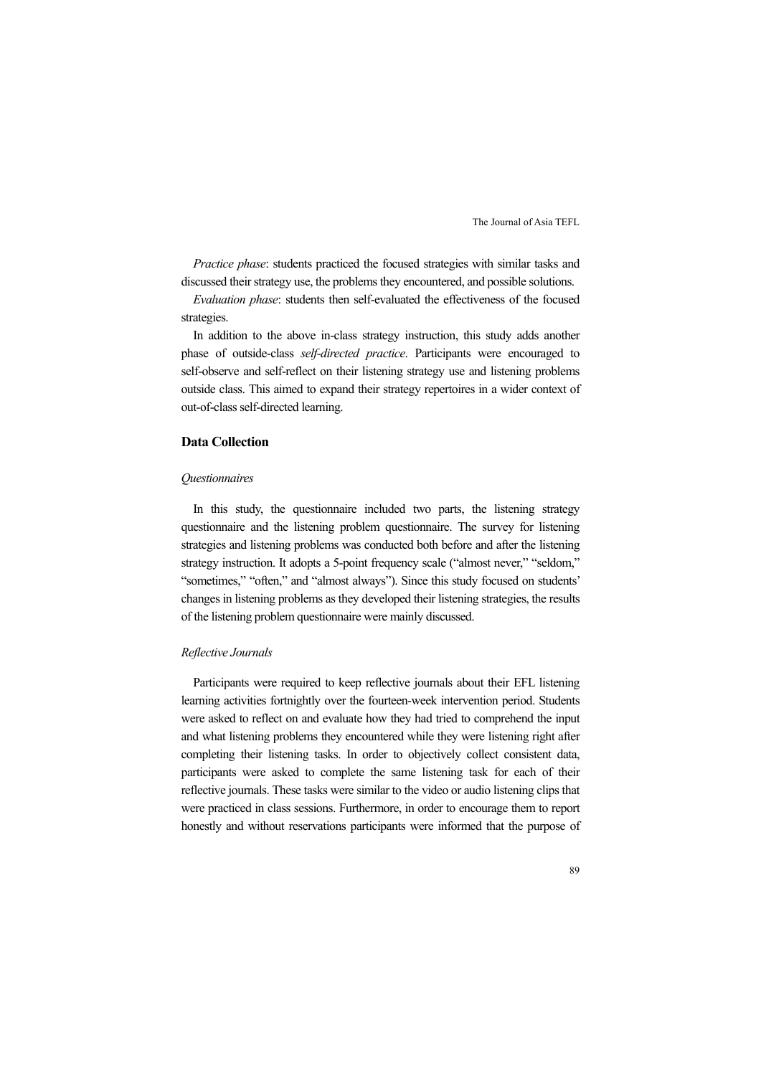*Practice phase*: students practiced the focused strategies with similar tasks and discussed their strategy use, the problems they encountered, and possible solutions.

*Evaluation phase*: students then self-evaluated the effectiveness of the focused strategies.

In addition to the above in-class strategy instruction, this study adds another phase of outside-class *self-directed practice*. Participants were encouraged to self-observe and self-reflect on their listening strategy use and listening problems outside class. This aimed to expand their strategy repertoires in a wider context of out-of-class self-directed learning.

## **Data Collection**

#### *Questionnaires*

In this study, the questionnaire included two parts, the listening strategy questionnaire and the listening problem questionnaire. The survey for listening strategies and listening problems was conducted both before and after the listening strategy instruction. It adopts a 5-point frequency scale ("almost never," "seldom," "sometimes," "often," and "almost always"). Since this study focused on students' changes in listening problems as they developed their listening strategies, the results of the listening problem questionnaire were mainly discussed.

#### *Reflective Journals*

Participants were required to keep reflective journals about their EFL listening learning activities fortnightly over the fourteen-week intervention period. Students were asked to reflect on and evaluate how they had tried to comprehend the input and what listening problems they encountered while they were listening right after completing their listening tasks. In order to objectively collect consistent data, participants were asked to complete the same listening task for each of their reflective journals. These tasks were similar to the video or audio listening clips that were practiced in class sessions. Furthermore, in order to encourage them to report honestly and without reservations participants were informed that the purpose of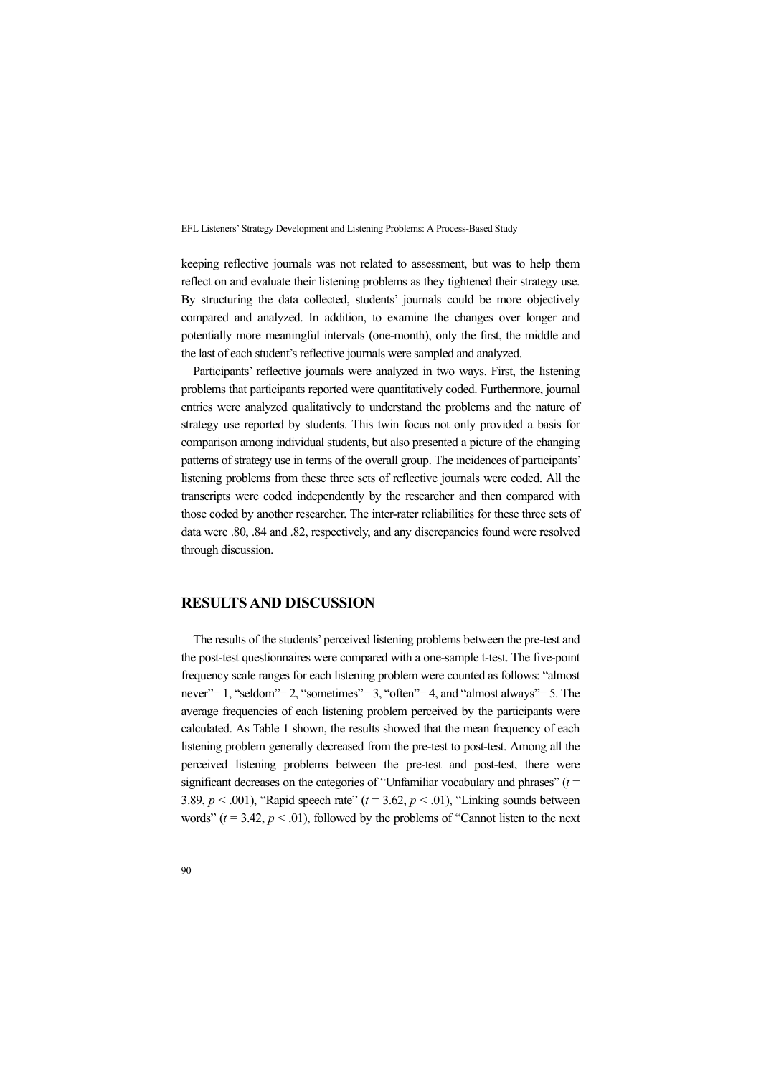keeping reflective journals was not related to assessment, but was to help them reflect on and evaluate their listening problems as they tightened their strategy use. By structuring the data collected, students' journals could be more objectively compared and analyzed. In addition, to examine the changes over longer and potentially more meaningful intervals (one-month), only the first, the middle and the last of each student's reflective journals were sampled and analyzed.

Participants' reflective journals were analyzed in two ways. First, the listening problems that participants reported were quantitatively coded. Furthermore, journal entries were analyzed qualitatively to understand the problems and the nature of strategy use reported by students. This twin focus not only provided a basis for comparison among individual students, but also presented a picture of the changing patterns of strategy use in terms of the overall group. The incidences of participants' listening problems from these three sets of reflective journals were coded. All the transcripts were coded independently by the researcher and then compared with those coded by another researcher. The inter-rater reliabilities for these three sets of data were .80, .84 and .82, respectively, and any discrepancies found were resolved through discussion.

## **RESULTS AND DISCUSSION**

The results of the students' perceived listening problems between the pre-test and the post-test questionnaires were compared with a one-sample t-test. The five-point frequency scale ranges for each listening problem were counted as follows: "almost never" = 1, "seldom" = 2, "sometimes" = 3, "often" = 4, and "almost always" = 5. The average frequencies of each listening problem perceived by the participants were calculated. As Table 1 shown, the results showed that the mean frequency of each listening problem generally decreased from the pre-test to post-test. Among all the perceived listening problems between the pre-test and post-test, there were significant decreases on the categories of "Unfamiliar vocabulary and phrases"  $(t =$ 3.89,  $p < .001$ ), "Rapid speech rate" ( $t = 3.62$ ,  $p < .01$ ), "Linking sounds between words"  $(t = 3.42, p < .01)$ , followed by the problems of "Cannot listen to the next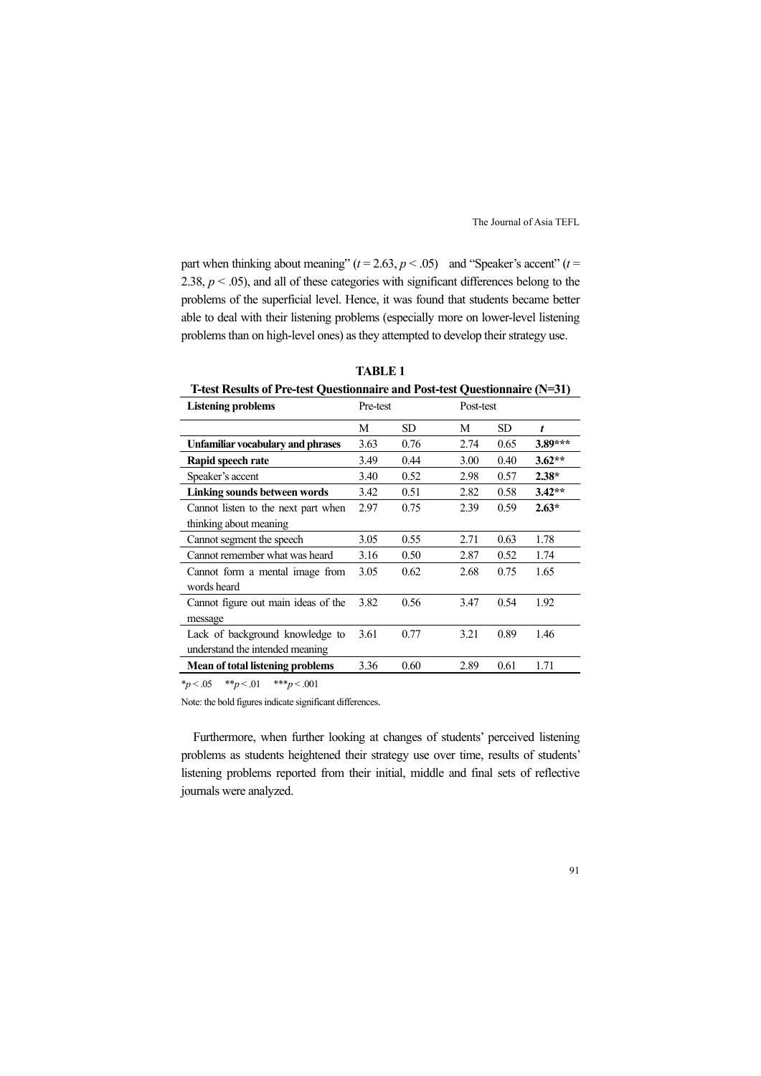part when thinking about meaning"  $(t = 2.63, p < .05)$  and "Speaker's accent"  $(t =$ 2.38,  $p < .05$ ), and all of these categories with significant differences belong to the problems of the superficial level. Hence, it was found that students became better able to deal with their listening problems (especially more on lower-level listening problems than on high-level ones) as they attempted to develop their strategy use.

| <b>1-test Results of Pre-test Questionnaire and Post-test Questionnaire (N=31)</b> |          |           |           |           |           |  |  |  |  |  |
|------------------------------------------------------------------------------------|----------|-----------|-----------|-----------|-----------|--|--|--|--|--|
| <b>Listening problems</b>                                                          | Pre-test |           | Post-test |           |           |  |  |  |  |  |
|                                                                                    | М        | <b>SD</b> | M         | <b>SD</b> | t         |  |  |  |  |  |
| Unfamiliar vocabulary and phrases                                                  | 3.63     | 0.76      | 2.74      | 0.65      | $3.89***$ |  |  |  |  |  |
| Rapid speech rate                                                                  | 3.49     | 0.44      | 3.00      | 0.40      | $3.62**$  |  |  |  |  |  |
| Speaker's accent                                                                   | 3.40     | 0.52      | 2.98      | 0.57      | $2.38*$   |  |  |  |  |  |
| Linking sounds between words                                                       | 3.42     | 0.51      | 2.82      | 0.58      | $3.42**$  |  |  |  |  |  |
| Cannot listen to the next part when                                                | 2.97     | 0.75      | 2.39      | 0.59      | $2.63*$   |  |  |  |  |  |
| thinking about meaning                                                             |          |           |           |           |           |  |  |  |  |  |
| Cannot segment the speech                                                          | 3.05     | 0.55      | 2.71      | 0.63      | 1.78      |  |  |  |  |  |
| Cannot remember what was heard                                                     | 3.16     | 0.50      | 2.87      | 0.52      | 1.74      |  |  |  |  |  |
| Cannot form a mental image from                                                    | 3.05     | 0.62      | 2.68      | 0.75      | 1.65      |  |  |  |  |  |
| words heard                                                                        |          |           |           |           |           |  |  |  |  |  |
| Cannot figure out main ideas of the                                                | 3.82     | 0.56      | 3.47      | 0.54      | 1.92      |  |  |  |  |  |
| message                                                                            |          |           |           |           |           |  |  |  |  |  |
| Lack of background knowledge to                                                    | 3.61     | 0.77      | 3.21      | 0.89      | 1.46      |  |  |  |  |  |
| understand the intended meaning                                                    |          |           |           |           |           |  |  |  |  |  |
| Mean of total listening problems                                                   | 3.36     | 0.60      | 2.89      | 0.61      | 1.71      |  |  |  |  |  |

**TABLE 1** 

**T-test Results of Pre-test Questionnaire and Post-test Questionnaire (N=31)** 

 $*_{p}$  < .05  $*_{p}$  < .01  $*_{p}$  < .001

Note: the bold figures indicate significant differences.

Furthermore, when further looking at changes of students' perceived listening problems as students heightened their strategy use over time, results of students' listening problems reported from their initial, middle and final sets of reflective journals were analyzed.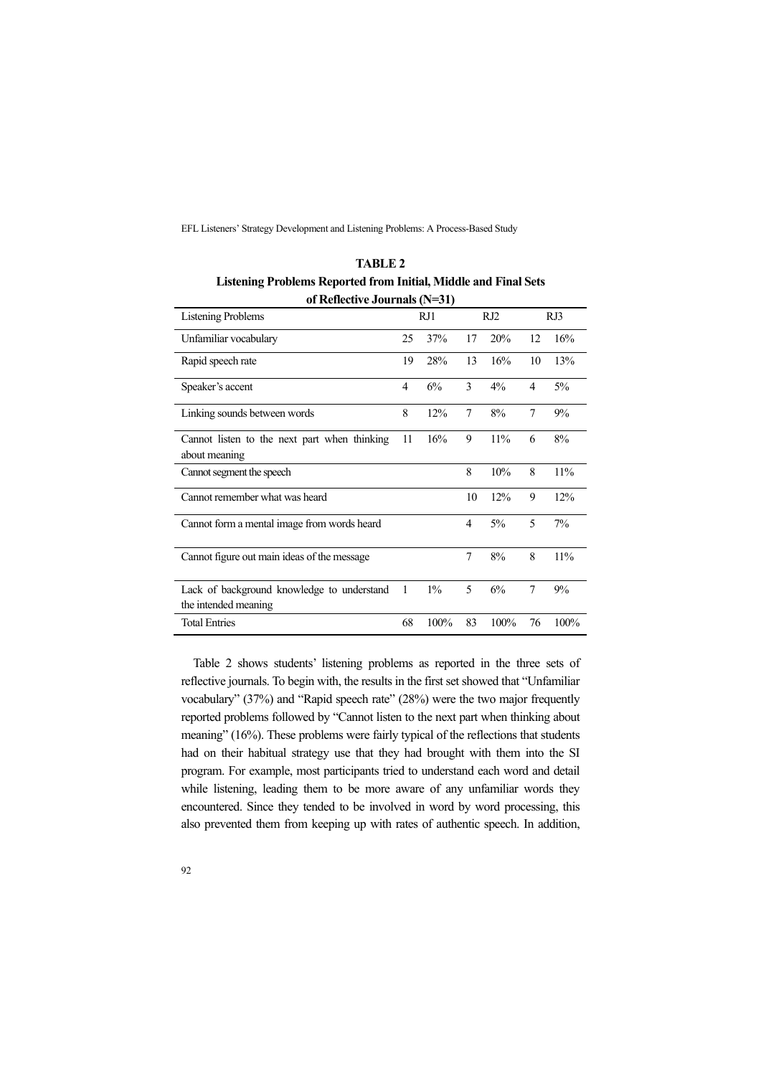| -<br>of Reflective Journals (N=31)                                 |                |       |     |       |                |      |  |  |  |  |
|--------------------------------------------------------------------|----------------|-------|-----|-------|----------------|------|--|--|--|--|
| <b>Listening Problems</b>                                          | RJ1            |       | RJ2 |       | RJ3            |      |  |  |  |  |
| Unfamiliar vocabulary                                              | 25             | 37%   | 17  | 20%   | 12             | 16%  |  |  |  |  |
| Rapid speech rate                                                  | 19             | 28%   | 13  | 16%   | 10             | 13%  |  |  |  |  |
| Speaker's accent                                                   | $\overline{4}$ | 6%    | 3   | $4\%$ | $\overline{4}$ | 5%   |  |  |  |  |
| Linking sounds between words                                       | 8              | 12%   | 7   | 8%    | 7              | 9%   |  |  |  |  |
| Cannot listen to the next part when thinking<br>about meaning      | 11             | 16%   | 9   | 11%   | 6              | 8%   |  |  |  |  |
| Cannot segment the speech                                          |                |       | 8   | 10%   | 8              | 11%  |  |  |  |  |
| Cannot remember what was heard                                     |                |       | 10  | 12%   | 9              | 12%  |  |  |  |  |
| Cannot form a mental image from words heard                        |                |       | 4   | 5%    | 5              | 7%   |  |  |  |  |
| Cannot figure out main ideas of the message                        |                |       | 7   | 8%    | 8              | 11%  |  |  |  |  |
| Lack of background knowledge to understand<br>the intended meaning | 1              | $1\%$ | 5   | 6%    | 7              | 9%   |  |  |  |  |
| <b>Total Entries</b>                                               | 68             | 100%  | 83  | 100%  | 76             | 100% |  |  |  |  |

**TABLE 2 Listening Problems Reported from Initial, Middle and Final Sets** 

Table 2 shows students' listening problems as reported in the three sets of reflective journals. To begin with, the results in the first set showed that "Unfamiliar vocabulary" (37%) and "Rapid speech rate" (28%) were the two major frequently reported problems followed by "Cannot listen to the next part when thinking about meaning" (16%). These problems were fairly typical of the reflections that students had on their habitual strategy use that they had brought with them into the SI program. For example, most participants tried to understand each word and detail while listening, leading them to be more aware of any unfamiliar words they encountered. Since they tended to be involved in word by word processing, this also prevented them from keeping up with rates of authentic speech. In addition,

 $\overline{a}$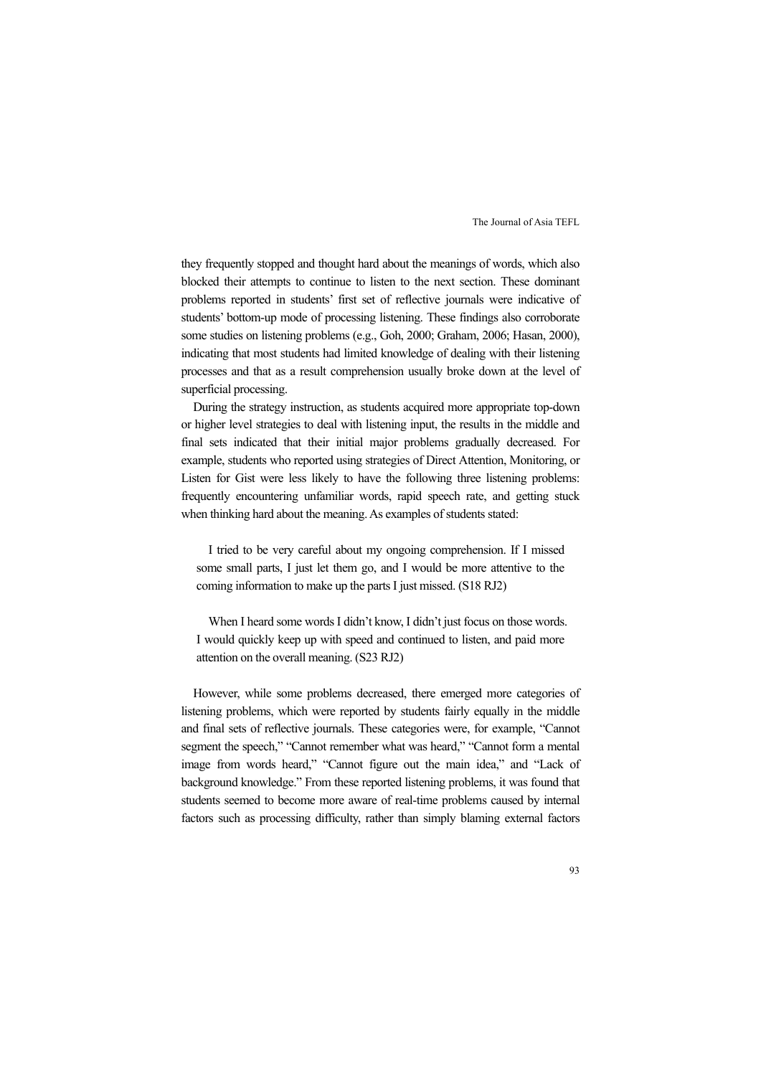they frequently stopped and thought hard about the meanings of words, which also blocked their attempts to continue to listen to the next section. These dominant problems reported in students' first set of reflective journals were indicative of students' bottom-up mode of processing listening. These findings also corroborate some studies on listening problems (e.g., Goh, 2000; Graham, 2006; Hasan, 2000), indicating that most students had limited knowledge of dealing with their listening processes and that as a result comprehension usually broke down at the level of superficial processing.

During the strategy instruction, as students acquired more appropriate top-down or higher level strategies to deal with listening input, the results in the middle and final sets indicated that their initial major problems gradually decreased. For example, students who reported using strategies of Direct Attention, Monitoring, or Listen for Gist were less likely to have the following three listening problems: frequently encountering unfamiliar words, rapid speech rate, and getting stuck when thinking hard about the meaning. As examples of students stated:

I tried to be very careful about my ongoing comprehension. If I missed some small parts, I just let them go, and I would be more attentive to the coming information to make up the parts I just missed. (S18 RJ2)

When I heard some words I didn't know, I didn't just focus on those words. I would quickly keep up with speed and continued to listen, and paid more attention on the overall meaning. (S23 RJ2)

However, while some problems decreased, there emerged more categories of listening problems, which were reported by students fairly equally in the middle and final sets of reflective journals. These categories were, for example, "Cannot segment the speech," "Cannot remember what was heard," "Cannot form a mental image from words heard," "Cannot figure out the main idea," and "Lack of background knowledge." From these reported listening problems, it was found that students seemed to become more aware of real-time problems caused by internal factors such as processing difficulty, rather than simply blaming external factors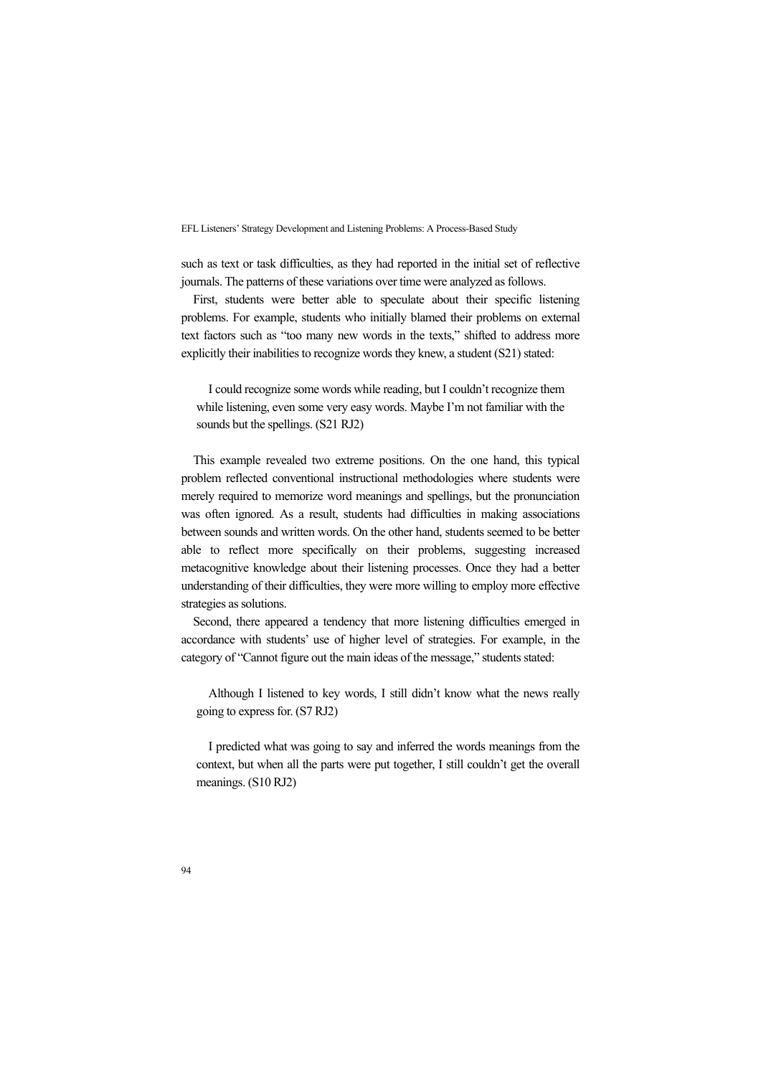such as text or task difficulties, as they had reported in the initial set of reflective journals. The patterns of these variations over time were analyzed as follows.

First, students were better able to speculate about their specific listening problems. For example, students who initially blamed their problems on external text factors such as "too many new words in the texts," shifted to address more explicitly their inabilities to recognize words they knew, a student (S21) stated:

I could recognize some words while reading, but I couldn't recognize them while listening, even some very easy words. Maybe I'm not familiar with the sounds but the spellings. (S21 RJ2)

This example revealed two extreme positions. On the one hand, this typical problem reflected conventional instructional methodologies where students were merely required to memorize word meanings and spellings, but the pronunciation was often ignored. As a result, students had difficulties in making associations between sounds and written words. On the other hand, students seemed to be better able to reflect more specifically on their problems, suggesting increased metacognitive knowledge about their listening processes. Once they had a better understanding of their difficulties, they were more willing to employ more effective strategies as solutions.

Second, there appeared a tendency that more listening difficulties emerged in accordance with students' use of higher level of strategies. For example, in the category of "Cannot figure out the main ideas of the message," students stated:

Although I listened to key words, I still didn't know what the news really going to express for. (S7 RJ2)

I predicted what was going to say and inferred the words meanings from the context, but when all the parts were put together, I still couldn't get the overall meanings. (S10 RJ2)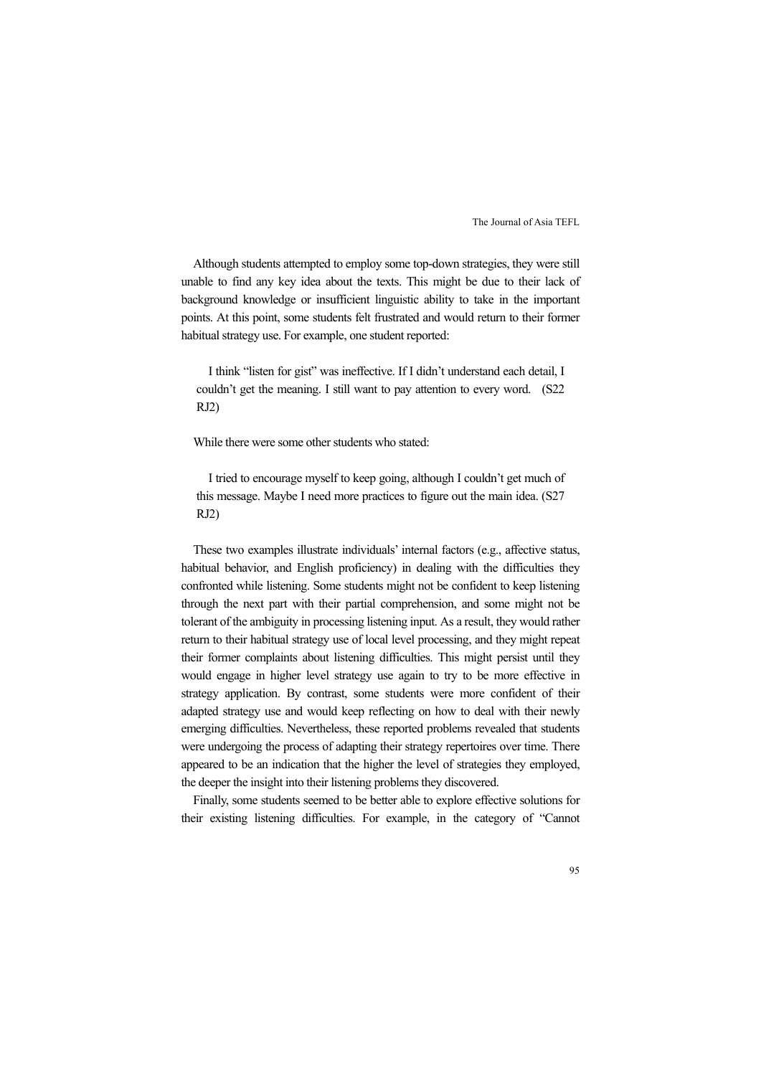Although students attempted to employ some top-down strategies, they were still unable to find any key idea about the texts. This might be due to their lack of background knowledge or insufficient linguistic ability to take in the important points. At this point, some students felt frustrated and would return to their former habitual strategy use. For example, one student reported:

I think "listen for gist" was ineffective. If I didn't understand each detail, I couldn't get the meaning. I still want to pay attention to every word. (S22 RJ2)

While there were some other students who stated:

I tried to encourage myself to keep going, although I couldn't get much of this message. Maybe I need more practices to figure out the main idea. (S27 RJ2)

These two examples illustrate individuals' internal factors (e.g., affective status, habitual behavior, and English proficiency) in dealing with the difficulties they confronted while listening. Some students might not be confident to keep listening through the next part with their partial comprehension, and some might not be tolerant of the ambiguity in processing listening input. As a result, they would rather return to their habitual strategy use of local level processing, and they might repeat their former complaints about listening difficulties. This might persist until they would engage in higher level strategy use again to try to be more effective in strategy application. By contrast, some students were more confident of their adapted strategy use and would keep reflecting on how to deal with their newly emerging difficulties. Nevertheless, these reported problems revealed that students were undergoing the process of adapting their strategy repertoires over time. There appeared to be an indication that the higher the level of strategies they employed, the deeper the insight into their listening problems they discovered.

Finally, some students seemed to be better able to explore effective solutions for their existing listening difficulties. For example, in the category of "Cannot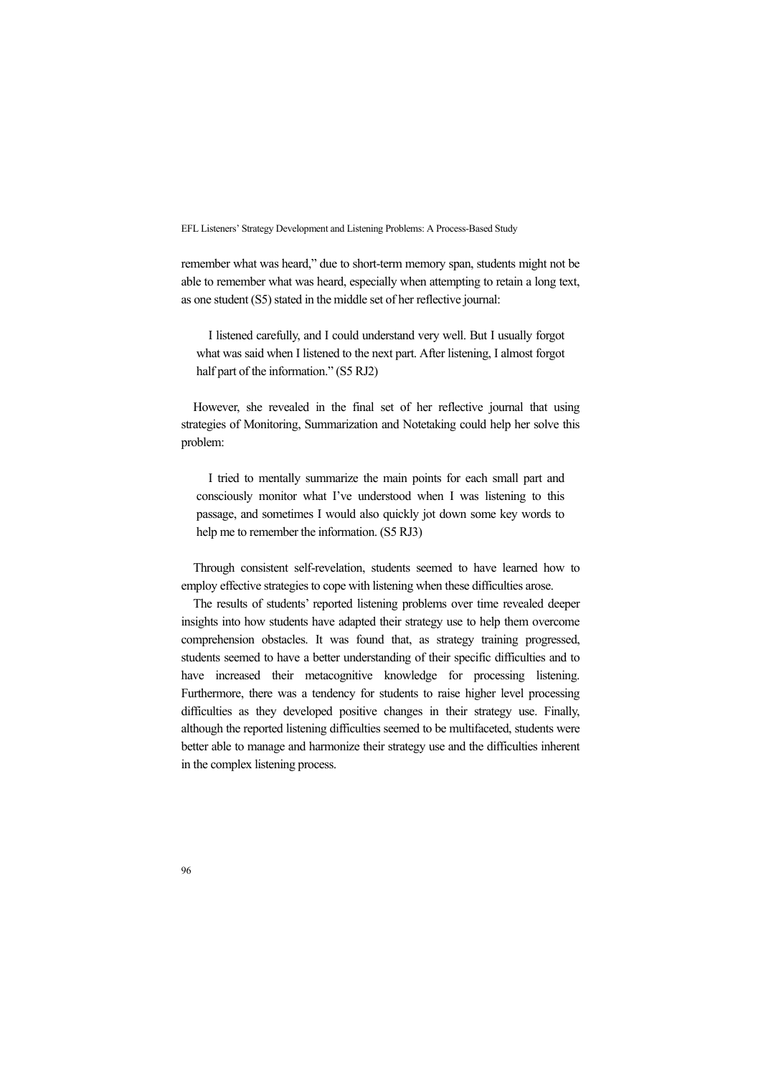remember what was heard," due to short-term memory span, students might not be able to remember what was heard, especially when attempting to retain a long text, as one student (S5) stated in the middle set of her reflective journal:

I listened carefully, and I could understand very well. But I usually forgot what was said when I listened to the next part. After listening, I almost forgot half part of the information." (S5 RJ2)

However, she revealed in the final set of her reflective journal that using strategies of Monitoring, Summarization and Notetaking could help her solve this problem:

I tried to mentally summarize the main points for each small part and consciously monitor what I've understood when I was listening to this passage, and sometimes I would also quickly jot down some key words to help me to remember the information. (S5 RJ3)

Through consistent self-revelation, students seemed to have learned how to employ effective strategies to cope with listening when these difficulties arose.

The results of students' reported listening problems over time revealed deeper insights into how students have adapted their strategy use to help them overcome comprehension obstacles. It was found that, as strategy training progressed, students seemed to have a better understanding of their specific difficulties and to have increased their metacognitive knowledge for processing listening. Furthermore, there was a tendency for students to raise higher level processing difficulties as they developed positive changes in their strategy use. Finally, although the reported listening difficulties seemed to be multifaceted, students were better able to manage and harmonize their strategy use and the difficulties inherent in the complex listening process.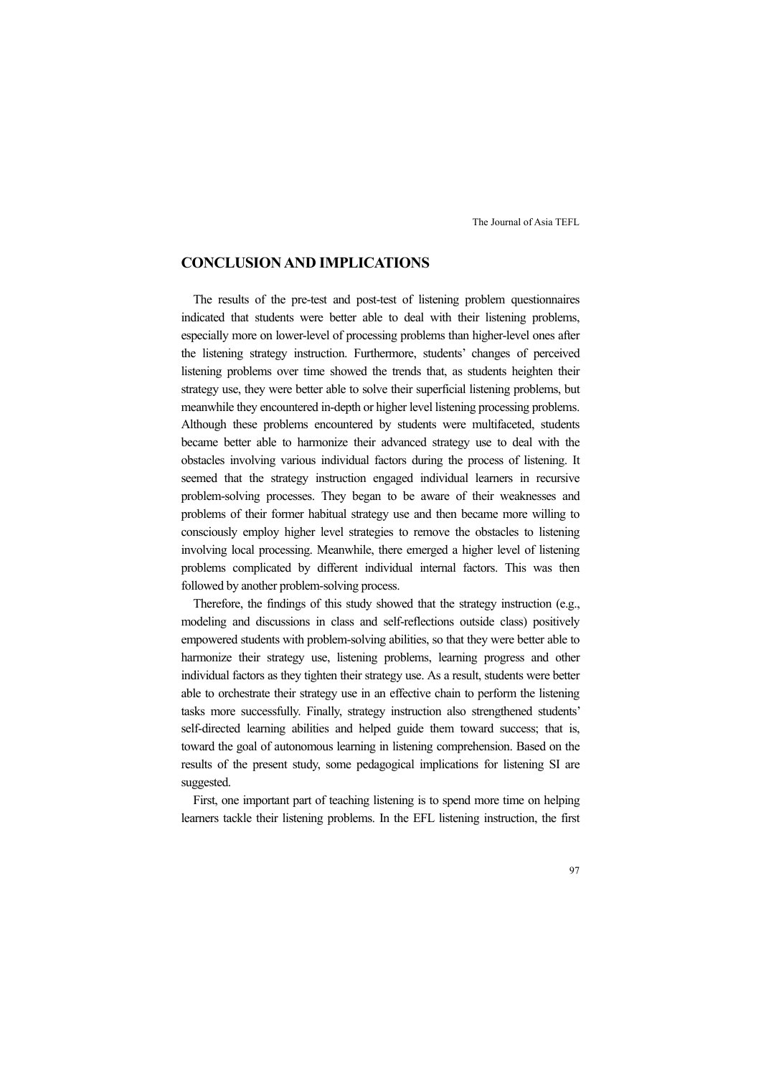# **CONCLUSION AND IMPLICATIONS**

The results of the pre-test and post-test of listening problem questionnaires indicated that students were better able to deal with their listening problems, especially more on lower-level of processing problems than higher-level ones after the listening strategy instruction. Furthermore, students' changes of perceived listening problems over time showed the trends that, as students heighten their strategy use, they were better able to solve their superficial listening problems, but meanwhile they encountered in-depth or higher level listening processing problems. Although these problems encountered by students were multifaceted, students became better able to harmonize their advanced strategy use to deal with the obstacles involving various individual factors during the process of listening. It seemed that the strategy instruction engaged individual learners in recursive problem-solving processes. They began to be aware of their weaknesses and problems of their former habitual strategy use and then became more willing to consciously employ higher level strategies to remove the obstacles to listening involving local processing. Meanwhile, there emerged a higher level of listening problems complicated by different individual internal factors. This was then followed by another problem-solving process.

Therefore, the findings of this study showed that the strategy instruction (e.g., modeling and discussions in class and self-reflections outside class) positively empowered students with problem-solving abilities, so that they were better able to harmonize their strategy use, listening problems, learning progress and other individual factors as they tighten their strategy use. As a result, students were better able to orchestrate their strategy use in an effective chain to perform the listening tasks more successfully. Finally, strategy instruction also strengthened students' self-directed learning abilities and helped guide them toward success; that is, toward the goal of autonomous learning in listening comprehension. Based on the results of the present study, some pedagogical implications for listening SI are suggested.

First, one important part of teaching listening is to spend more time on helping learners tackle their listening problems. In the EFL listening instruction, the first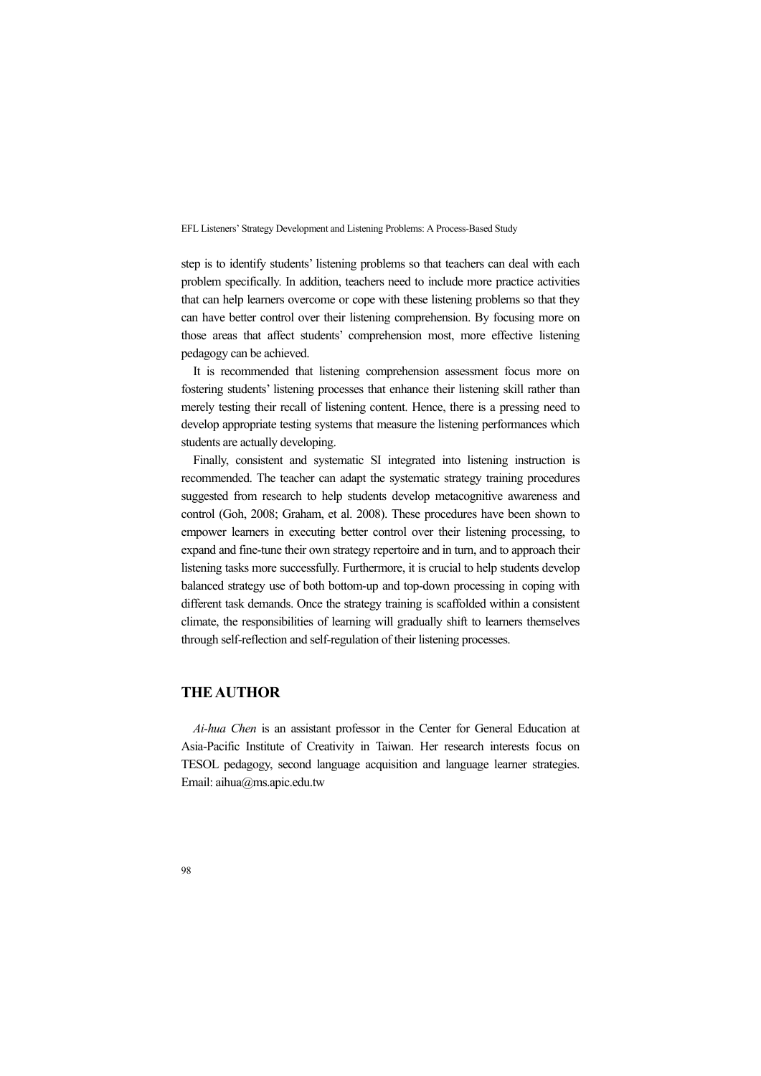step is to identify students' listening problems so that teachers can deal with each problem specifically. In addition, teachers need to include more practice activities that can help learners overcome or cope with these listening problems so that they can have better control over their listening comprehension. By focusing more on those areas that affect students' comprehension most, more effective listening pedagogy can be achieved.

It is recommended that listening comprehension assessment focus more on fostering students' listening processes that enhance their listening skill rather than merely testing their recall of listening content. Hence, there is a pressing need to develop appropriate testing systems that measure the listening performances which students are actually developing.

Finally, consistent and systematic SI integrated into listening instruction is recommended. The teacher can adapt the systematic strategy training procedures suggested from research to help students develop metacognitive awareness and control (Goh, 2008; Graham, et al. 2008). These procedures have been shown to empower learners in executing better control over their listening processing, to expand and fine-tune their own strategy repertoire and in turn, and to approach their listening tasks more successfully. Furthermore, it is crucial to help students develop balanced strategy use of both bottom-up and top-down processing in coping with different task demands. Once the strategy training is scaffolded within a consistent climate, the responsibilities of learning will gradually shift to learners themselves through self-reflection and self-regulation of their listening processes.

# **THE AUTHOR**

*Ai-hua Chen* is an assistant professor in the Center for General Education at Asia-Pacific Institute of Creativity in Taiwan. Her research interests focus on TESOL pedagogy, second language acquisition and language learner strategies. Email: aihua@ms.apic.edu.tw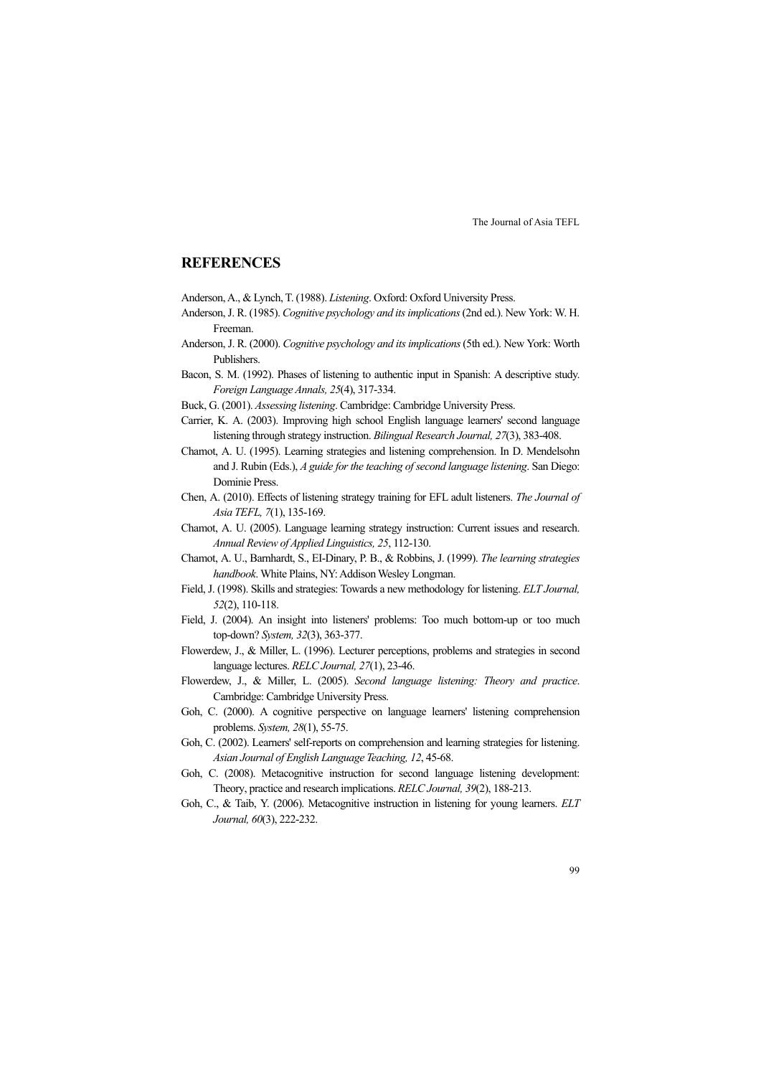# **REFERENCES**

- Anderson, A., & Lynch, T. (1988). *Listening*. Oxford: Oxford University Press.
- Anderson, J. R. (1985). *Cognitive psychology and its implications* (2nd ed.). New York: W. H. Freeman.
- Anderson, J. R. (2000). *Cognitive psychology and its implications* (5th ed.). New York: Worth Publishers.
- Bacon, S. M. (1992). Phases of listening to authentic input in Spanish: A descriptive study. *Foreign Language Annals, 25*(4), 317-334.
- Buck, G. (2001). *Assessing listening*. Cambridge: Cambridge University Press.
- Carrier, K. A. (2003). Improving high school English language learners' second language listening through strategy instruction. *Bilingual Research Journal, 27*(3), 383-408.
- Chamot, A. U. (1995). Learning strategies and listening comprehension. In D. Mendelsohn and J. Rubin (Eds.), *A guide for the teaching of second language listening*. San Diego: Dominie Press.
- Chen, A. (2010). Effects of listening strategy training for EFL adult listeners. *The Journal of Asia TEFL, 7*(1), 135-169.
- Chamot, A. U. (2005). Language learning strategy instruction: Current issues and research. *Annual Review of Applied Linguistics, 25*, 112-130.
- Chamot, A. U., Barnhardt, S., EI-Dinary, P. B., & Robbins, J. (1999). *The learning strategies handbook*. White Plains, NY: Addison Wesley Longman.
- Field, J. (1998). Skills and strategies: Towards a new methodology for listening. *ELT Journal, 52*(2), 110-118.
- Field, J. (2004). An insight into listeners' problems: Too much bottom-up or too much top-down? *System, 32*(3), 363-377.
- Flowerdew, J., & Miller, L. (1996). Lecturer perceptions, problems and strategies in second language lectures. *RELC Journal, 27*(1), 23-46.
- Flowerdew, J., & Miller, L. (2005). *Second language listening: Theory and practice*. Cambridge: Cambridge University Press.
- Goh, C. (2000). A cognitive perspective on language learners' listening comprehension problems. *System, 28*(1), 55-75.
- Goh, C. (2002). Learners' self-reports on comprehension and learning strategies for listening. *Asian Journal of English Language Teaching, 12*, 45-68.
- Goh, C. (2008). Metacognitive instruction for second language listening development: Theory, practice and research implications. *RELC Journal, 39*(2), 188-213.
- Goh, C., & Taib, Y. (2006). Metacognitive instruction in listening for young learners. *ELT Journal, 60*(3), 222-232.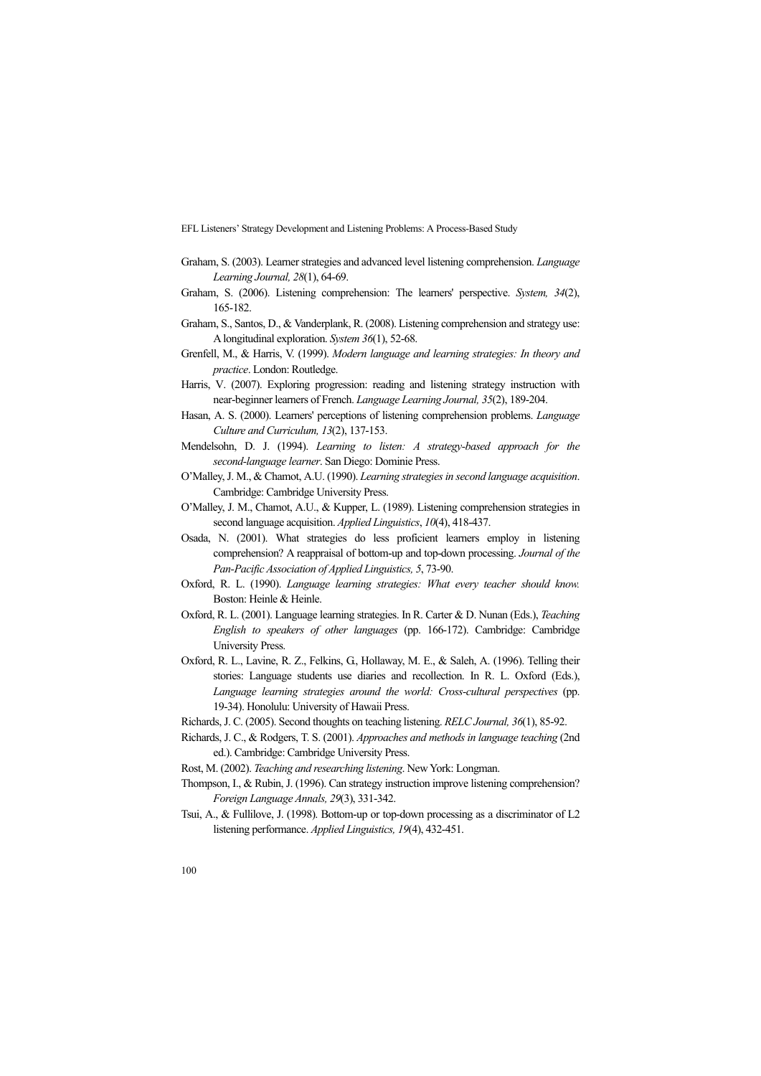- Graham, S. (2003). Learner strategies and advanced level listening comprehension. *Language Learning Journal, 28*(1), 64-69.
- Graham, S. (2006). Listening comprehension: The learners' perspective. *System, 34*(2), 165-182.
- Graham, S., Santos, D., & Vanderplank, R. (2008). Listening comprehension and strategy use: A longitudinal exploration. *System 36*(1), 52-68.
- Grenfell, M., & Harris, V. (1999). *Modern language and learning strategies: In theory and practice*. London: Routledge.
- Harris, V. (2007). Exploring progression: reading and listening strategy instruction with near-beginner learners of French. *Language Learning Journal, 35*(2), 189-204.
- Hasan, A. S. (2000). Learners' perceptions of listening comprehension problems. *Language Culture and Curriculum, 13*(2), 137-153.
- Mendelsohn, D. J. (1994). *Learning to listen: A strategy-based approach for the second-language learner*. San Diego: Dominie Press.
- O'Malley, J. M., & Chamot, A.U. (1990). *Learning strategies in second language acquisition*. Cambridge: Cambridge University Press.
- O'Malley, J. M., Chamot, A.U., & Kupper, L. (1989). Listening comprehension strategies in second language acquisition. *Applied Linguistics*, *10*(4), 418-437.
- Osada, N. (2001). What strategies do less proficient learners employ in listening comprehension? A reappraisal of bottom-up and top-down processing. *Journal of the Pan-Pacific Association of Applied Linguistics, 5*, 73-90.
- Oxford, R. L. (1990). *Language learning strategies: What every teacher should know.* Boston: Heinle & Heinle.
- Oxford, R. L. (2001). Language learning strategies. In R. Carter & D. Nunan (Eds.), *Teaching English to speakers of other languages* (pp. 166-172). Cambridge: Cambridge University Press.
- Oxford, R. L., Lavine, R. Z., Felkins, G., Hollaway, M. E., & Saleh, A. (1996). Telling their stories: Language students use diaries and recollection. In R. L. Oxford (Eds.), *Language learning strategies around the world: Cross-cultural perspectives* (pp. 19-34). Honolulu: University of Hawaii Press.
- Richards, J. C. (2005). Second thoughts on teaching listening. *RELC Journal, 36*(1), 85-92.
- Richards, J. C., & Rodgers, T. S. (2001). *Approaches and methods in language teaching* (2nd ed.). Cambridge: Cambridge University Press.
- Rost, M. (2002). *Teaching and researching listening*. New York: Longman.
- Thompson, I., & Rubin, J. (1996). Can strategy instruction improve listening comprehension? *Foreign Language Annals, 29*(3), 331-342.
- Tsui, A., & Fullilove, J. (1998). Bottom-up or top-down processing as a discriminator of L2 listening performance. *Applied Linguistics, 19*(4), 432-451.